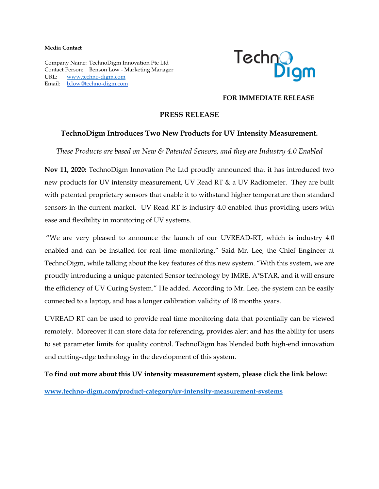#### **Media Contact**

Company Name: TechnoDigm Innovation Pte Ltd Contact Person: Benson Low - Marketing Manager URL: [www.techno-digm.com](http://www.techno-digm.com/) Email: [b.low@techno-digm.com](mailto:b.low@techno-digm.com)



#### **FOR IMMEDIATE RELEASE**

### **PRESS RELEASE**

### **TechnoDigm Introduces Two New Products for UV Intensity Measurement.**

*These Products are based on New & Patented Sensors, and they are Industry 4.0 Enabled*

**Nov 11, 2020:** TechnoDigm Innovation Pte Ltd proudly announced that it has introduced two new products for UV intensity measurement, UV Read RT & a UV Radiometer. They are built with patented proprietary sensors that enable it to withstand higher temperature then standard sensors in the current market. UV Read RT is industry 4.0 enabled thus providing users with ease and flexibility in monitoring of UV systems.

"We are very pleased to announce the launch of our UVREAD-RT, which is industry 4.0 enabled and can be installed for real-time monitoring." Said Mr. Lee, the Chief Engineer at TechnoDigm, while talking about the key features of this new system. "With this system, we are proudly introducing a unique patented Sensor technology by IMRE, A\*STAR, and it will ensure the efficiency of UV Curing System." He added. According to Mr. Lee, the system can be easily connected to a laptop, and has a longer calibration validity of 18 months years.

UVREAD RT can be used to provide real time monitoring data that potentially can be viewed remotely. Moreover it can store data for referencing, provides alert and has the ability for users to set parameter limits for quality control. TechnoDigm has blended both high-end innovation and cutting-edge technology in the development of this system.

**To find out more about this UV intensity measurement system, please click the link below:**

**[www.techno-digm.com/product-category/uv-intensity-measurement-systems](http://www.techno-digm.com/product-category/uv-intensity-measurement-systems)**